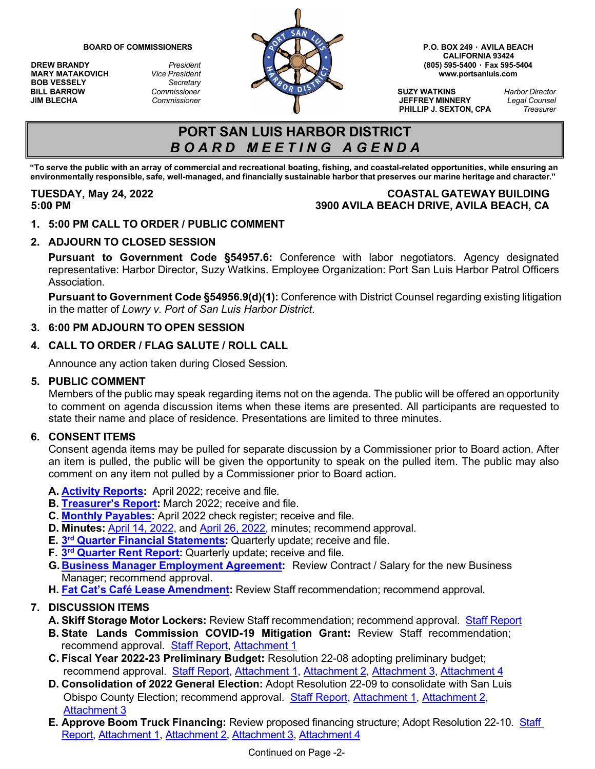**MARY MATAKOVICH** *Vice President*<br>**BOB VESSELY** *Secretary* **BOB VESSELY<br>BILL BARROW** 



**CALIFORNIA 93424**

**PHILLIP J. SEXTON, CPA** *Treasurer*

# **PORT SAN LUIS HARBOR DISTRICT** *B O A R D M E E T I N G A G E N D A*

"To serve the public with an array of commercial and recreational boating, fishing, and coastal-related opportunities, while ensuring an environmentally responsible, safe, well-managed, and financially sustainable harbor that preserves our marine heritage and character."

### **TUESDAY, May 24, 2022 COASTAL GATEWAY BUILDING 5:00 PM 3900 AVILA BEACH DRIVE, AVILA BEACH, CA**

**1. 5:00 PM CALL TO ORDER / PUBLIC COMMENT**

# **2. ADJOURN TO CLOSED SESSION**

**Pursuant to Government Code §54957.6:** Conference with labor negotiators. Agency designated representative: Harbor Director, Suzy Watkins. Employee Organization: Port San Luis Harbor Patrol Officers Association.

**Pursuant to Government Code §54956.9(d)(1):** Conference with District Counsel regarding existing litigation in the matter of *Lowry v. Port of San Luis Harbor District*.

### **3. 6:00 PM ADJOURN TO OPEN SESSION**

# **4. CALL TO ORDER / FLAG SALUTE / ROLL CALL**

Announce any action taken during Closed Session.

#### **5. PUBLIC COMMENT**

Members of the public may speak regarding items not on the agenda. The public will be offered an opportunity to comment on agenda discussion items when these items are presented. All participants are requested to state their name and place of residence. Presentations are limited to three minutes.

### **6. CONSENT ITEMS**

Consent agenda items may be pulled for separate discussion by a Commissioner prior to Board action. After an item is pulled, the public will be given the opportunity to speak on the pulled item. The public may also comment on any item not pulled by a Commissioner prior to Board action.

- **A. Activity [Reports:](https://www.portsanluis.com/DocumentCenter/View/6129/Consent-A---2022-04--PSL-Activity-Report)** April 2022; receive and file.
- **B. [Treasurer's](https://www.portsanluis.com/DocumentCenter/View/6130/Consent-B---TR-03-31-2022) Report:** March 2022; receive and file.
- **C. Monthly [Payables:](https://www.portsanluis.com/DocumentCenter/View/6131/Consent-C---Monthly-Payables-for-Apr-2022-052422-BOC)** April 2022 check register; receive and file.
- **D. Minutes:** April 14, [2022,](https://www.portsanluis.com/DocumentCenter/View/6132/Consent-Da---04142022-Special-Board-Meeting-Minutes-DRAFT) and April 26, [2022,](https://www.portsanluis.com/DocumentCenter/View/6133/Consent-Db---042622-Meeting-Minutes-DRAFT) minutes; recommend approval.
- **E. 3rd Quarter Financial [Statements:](https://www.portsanluis.com/DocumentCenter/View/6134/Consent-E---Staff-Report--3Q-Financial-Stmts-2020-21)** Quarterly update; receive and file.
- **F. 3rd [Quarter](https://www.portsanluis.com/DocumentCenter/View/6135/Consent-F---Rent-Report-21-22-3rd-Quarter-052422-BOC) Rent Report:** Quarterly update; receive and file.
- **G. [Business Manager Employment Agreement:](https://www.portsanluis.com/DocumentCenter/View/6136/Consent-G---SR-2022-May---Business-Manager)** Review Contract / Salary for the new Business Manager; recommend approval.
- **H. Fat Cat's Café Lease [Amendment:](https://www.portsanluis.com/DocumentCenter/View/6151/Consent-H---Staff-Report---Fat-Cats-Lease-Amendment---Final)** Review Staff recommendation; recommend approval.

### **7. DISCUSSION ITEMS**

- **A. Skiff Storage Motor Lockers:** Review Staff recommendation; recommend approval. Staff [Report](https://www.portsanluis.com/DocumentCenter/View/6137/Disc-A---SR-Skiff-Storage-Motor-Lockers-SW)
- **B. State Lands Commission COVID-19 Mitigation Grant:** Review Staff recommendation; recommend approval. [Staff Report,](https://www.portsanluis.com/DocumentCenter/View/6138/Disc-B---SR-2022-May---State-Lands-Grant-FINAL) [Attachment 1](https://www.portsanluis.com/DocumentCenter/View/6139/Disc-Ba---Attachment-1--Funding-Agreement_Second-Disbursement)
- **C. Fiscal Year 2022-23 Preliminary Budget:** Resolution 22-08 adopting preliminary budget; recommend approval. Staff [Report,](https://www.portsanluis.com/DocumentCenter/View/6140/Disc-C---Preliminary-Budget-Staff-Report-FY22-23-5-242022BOC) [Attachment](https://www.portsanluis.com/DocumentCenter/View/6144/Disc-Cd---Attachment-4-Reconciliation-of-Preliminary-Draft-Budget) 1, Attachment 2, Attachment 3, Attachment 4
- **D. Consolidation of 2022 General Election:** Adopt Resolution 22-09 to consolidate with San Luis Obispo County Election; recommend approval. [Staff Report,](https://www.portsanluis.com/DocumentCenter/View/6145/Disc-D---SR-County-Elections-Staff-Report) [Attachment 1,](https://www.portsanluis.com/DocumentCenter/View/6146/Disc-Da---Election-Resolution-22-09) [Attachment 2,](https://www.portsanluis.com/DocumentCenter/View/6147/Disc-Db---Notice-to-County) [Attachment 3](https://www.portsanluis.com/DocumentCenter/View/6148/Disc-Dc---County-Clerk-Letter)
- **E. Approve Boom Truck Financing:** Review proposed financing structure; Adopt Resolution 22-1[0. Staff](https://www.portsanluis.com/DocumentCenter/View/6162/Disc-E---Equipment-Financing-Staff-Report---May-22)  [Report,](https://www.portsanluis.com/DocumentCenter/View/6162/Disc-E---Equipment-Financing-Staff-Report---May-22) [Attachment 1,](https://www.portsanluis.com/DocumentCenter/View/6163/Disc-Ea---Reso-22-10---Resolution-Authorizing-Lease-Agreement) [Attachment 2,](https://www.portsanluis.com/DocumentCenter/View/6164/Disc-Eb---Lease-Agreement) [Attachment 3,](https://www.portsanluis.com/DocumentCenter/View/6165/Disc-Ec---Assignment-and-Closing-Certificates) [Attachment 4](https://www.portsanluis.com/DocumentCenter/View/6166/Disc-Ed---Acquisition-Fund-Agreement)